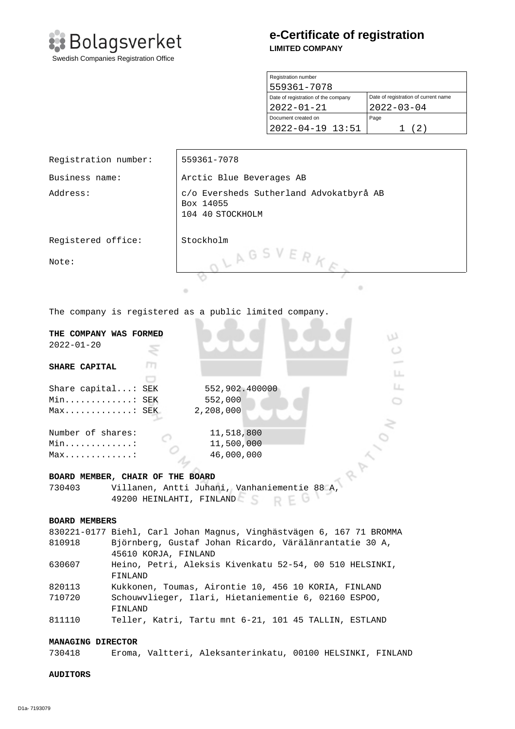

# **e-Certificate of registration LIMITED COMPANY**

| Registration number                 |                                      |
|-------------------------------------|--------------------------------------|
| 559361-7078                         |                                      |
| Date of registration of the company | Date of registration of current name |
| $2022 - 01 - 21$                    | $2022 - 03 - 04$                     |
| Document created on                 | Page                                 |
| $2022 - 04 - 19$ 13:51              | (2)                                  |

| Registration number:                                                           |                                                                                | 559361-7078                                                                                  |  |  |
|--------------------------------------------------------------------------------|--------------------------------------------------------------------------------|----------------------------------------------------------------------------------------------|--|--|
| Business name:                                                                 |                                                                                | Arctic Blue Beverages AB                                                                     |  |  |
| Address:                                                                       |                                                                                | c/o Eversheds Sutherland Advokatbyrå AB<br>Box 14055<br>104 40 STOCKHOLM                     |  |  |
| Registered office:                                                             |                                                                                | Stockholm                                                                                    |  |  |
| Note:                                                                          |                                                                                | LAGSVERK                                                                                     |  |  |
|                                                                                |                                                                                | ۰<br>۰                                                                                       |  |  |
| The company is registered as a public limited company.                         |                                                                                |                                                                                              |  |  |
| THE COMPANY WAS FORMED                                                         |                                                                                | w                                                                                            |  |  |
| $2022 - 01 - 20$                                                               |                                                                                |                                                                                              |  |  |
| m<br>SHARE CAPITAL<br>LL.                                                      |                                                                                |                                                                                              |  |  |
|                                                                                |                                                                                | Ц.                                                                                           |  |  |
| Share capital: SEK                                                             |                                                                                | 552,902.400000                                                                               |  |  |
| Min SEK<br>552,000<br>2,208,000<br>Max: SEK                                    |                                                                                |                                                                                              |  |  |
| Number of shares:<br>11,518,800<br>11,500,000<br>Min. :<br>46,000,000<br>$Max$ |                                                                                |                                                                                              |  |  |
| BOARD MEMBER, CHAIR OF THE BOARD                                               |                                                                                |                                                                                              |  |  |
| 730403                                                                         |                                                                                | --- No THE BOARD<br>Villanen, Antti Juhani, Vanhaniementie 88 A,<br>49200 HEINLAHTI, FINLAND |  |  |
| <b>BOARD MEMBERS</b>                                                           |                                                                                |                                                                                              |  |  |
|                                                                                | 830221-0177 Biehl, Carl Johan Magnus, Vinghästvägen 6, 167 71 BROMMA           |                                                                                              |  |  |
| 810918                                                                         | Björnberg, Gustaf Johan Ricardo, Värälänrantatie 30 A,<br>45610 KORJA, FINLAND |                                                                                              |  |  |
| 630607                                                                         | Heino, Petri, Aleksis Kivenkatu 52-54, 00 510 HELSINKI,<br>FINLAND             |                                                                                              |  |  |
| 820113                                                                         | Kukkonen, Toumas, Airontie 10, 456 10 KORIA, FINLAND                           |                                                                                              |  |  |
| 710720                                                                         | Schouwvlieger, Ilari, Hietaniementie 6, 02160 ESPOO,<br>FINLAND                |                                                                                              |  |  |
| 811110                                                                         |                                                                                | Teller, Katri, Tartu mnt 6-21, 101 45 TALLIN, ESTLAND                                        |  |  |
| <b>MANAGING DIRECTOR</b>                                                       |                                                                                |                                                                                              |  |  |
| 730418                                                                         |                                                                                | Eroma, Valtteri, Aleksanterinkatu, 00100 HELSINKI, FINLAND                                   |  |  |
| <b>AUDITORS</b>                                                                |                                                                                |                                                                                              |  |  |